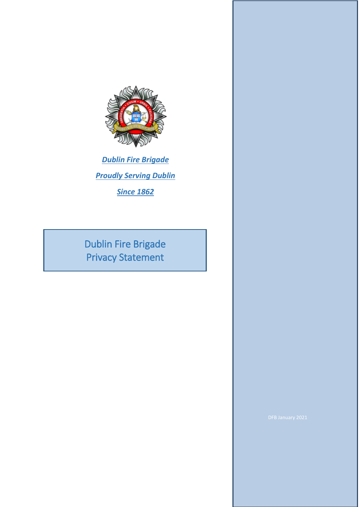

*Dublin Fire Brigade Proudly Serving Dublin*

*Since 1862*

Dublin Fire Brigade Privacy Statement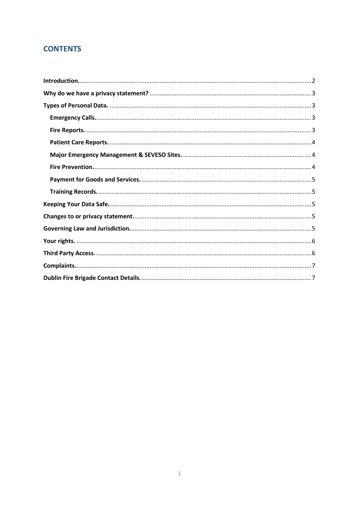## **CONTENTS**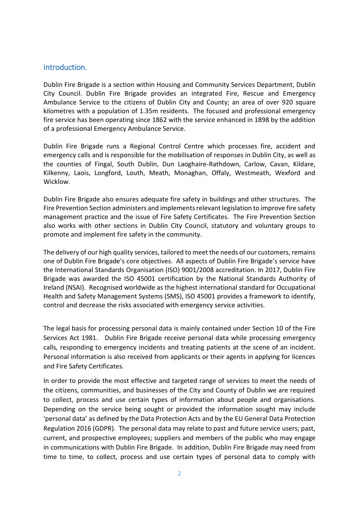#### <span id="page-2-0"></span>Introduction.

Dublin Fire Brigade is a section within Housing and Community Services Department, Dublin City Council. Dublin Fire Brigade provides an integrated Fire, Rescue and Emergency Ambulance Service to the citizens of Dublin City and County; an area of over 920 square kilometres with a population of 1.35m residents. The focused and professional emergency fire service has been operating since 1862 with the service enhanced in 1898 by the addition of a professional Emergency Ambulance Service.

Dublin Fire Brigade runs a Regional Control Centre which processes fire, accident and emergency calls and is responsible for the mobilisation of responses in Dublin City, as well as the counties of Fingal, South Dublin, Dun Laoghaire-Rathdown, Carlow, Cavan, Kildare, Kilkenny, Laois, Longford, Louth, Meath, Monaghan, Offaly, Westmeath, Wexford and Wicklow.

Dublin Fire Brigade also ensures adequate fire safety in buildings and other structures. The Fire Prevention Section administers and implements relevant legislation to improve fire safety management practice and the issue of Fire Safety Certificates. The Fire Prevention Section also works with other sections in Dublin City Council, statutory and voluntary groups to promote and implement fire safety in the community.

The delivery of our high quality services, tailored to meet the needs of our customers, remains one of Dublin Fire Brigade's core objectives. All aspects of Dublin Fire Brigade's service have the International Standards Organisation (ISO) 9001/2008 accreditation. In 2017, Dublin Fire Brigade was awarded the ISO 45001 certification by the National Standards Authority of Ireland (NSAI). Recognised worldwide as the highest international standard for Occupational Health and Safety Management Systems (SMS), ISO 45001 provides a framework to identify, control and decrease the risks associated with emergency service activities.

The legal basis for processing personal data is mainly contained under Section 10 of the Fire Services Act 1981. Dublin Fire Brigade receive personal data while processing emergency calls, responding to emergency incidents and treating patients at the scene of an incident. Personal information is also received from applicants or their agents in applying for licences and Fire Safety Certificates.

In order to provide the most effective and targeted range of services to meet the needs of the citizens, communities, and businesses of the City and County of Dublin we are required to collect, process and use certain types of information about people and organisations. Depending on the service being sought or provided the information sought may include 'personal data' as defined by the Data Protection Acts and by the EU General Data Protection Regulation 2016 (GDPR). The personal data may relate to past and future service users; past, current, and prospective employees; suppliers and members of the public who may engage in communications with Dublin Fire Brigade. In addition, Dublin Fire Brigade may need from time to time, to collect, process and use certain types of personal data to comply with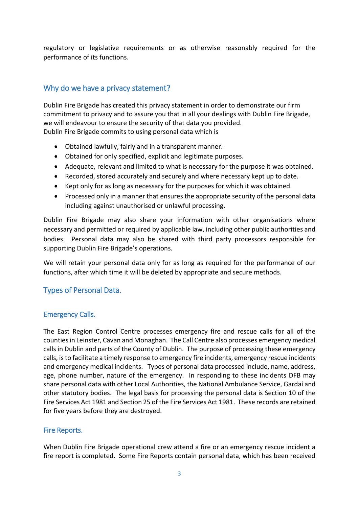regulatory or legislative requirements or as otherwise reasonably required for the performance of its functions.

## <span id="page-3-0"></span>Why do we have a privacy statement?

Dublin Fire Brigade has created this privacy statement in order to demonstrate our firm commitment to privacy and to assure you that in all your dealings with Dublin Fire Brigade, we will endeavour to ensure the security of that data you provided. Dublin Fire Brigade commits to using personal data which is

- Obtained lawfully, fairly and in a transparent manner.
- Obtained for only specified, explicit and legitimate purposes.
- Adequate, relevant and limited to what is necessary for the purpose it was obtained.
- Recorded, stored accurately and securely and where necessary kept up to date.
- Kept only for as long as necessary for the purposes for which it was obtained.
- Processed only in a manner that ensures the appropriate security of the personal data including against unauthorised or unlawful processing.

Dublin Fire Brigade may also share your information with other organisations where necessary and permitted or required by applicable law, including other public authorities and bodies. Personal data may also be shared with third party processors responsible for supporting Dublin Fire Brigade's operations.

We will retain your personal data only for as long as required for the performance of our functions, after which time it will be deleted by appropriate and secure methods.

## <span id="page-3-1"></span>Types of Personal Data.

#### <span id="page-3-2"></span>Emergency Calls.

The East Region Control Centre processes emergency fire and rescue calls for all of the counties in Leinster, Cavan and Monaghan. The Call Centre also processes emergency medical calls in Dublin and parts of the County of Dublin. The purpose of processing these emergency calls, is to facilitate a timely response to emergency fire incidents, emergency rescue incidents and emergency medical incidents. Types of personal data processed include, name, address, age, phone number, nature of the emergency. In responding to these incidents DFB may share personal data with other Local Authorities, the National Ambulance Service, Gardaí and other statutory bodies. The legal basis for processing the personal data is Section 10 of the Fire Services Act 1981 and Section 25 of the Fire Services Act 1981. These records are retained for five years before they are destroyed.

#### <span id="page-3-3"></span>Fire Reports.

When Dublin Fire Brigade operational crew attend a fire or an emergency rescue incident a fire report is completed. Some Fire Reports contain personal data, which has been received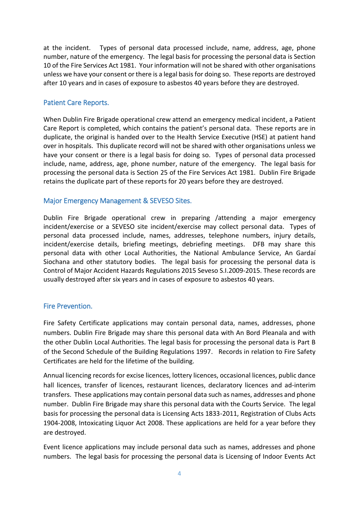at the incident. Types of personal data processed include, name, address, age, phone number, nature of the emergency. The legal basis for processing the personal data is Section 10 of the Fire Services Act 1981. Your information will not be shared with other organisations unless we have your consent or there is a legal basis for doing so. These reports are destroyed after 10 years and in cases of exposure to asbestos 40 years before they are destroyed.

#### <span id="page-4-0"></span>Patient Care Reports.

When Dublin Fire Brigade operational crew attend an emergency medical incident, a Patient Care Report is completed, which contains the patient's personal data. These reports are in duplicate, the original is handed over to the Health Service Executive (HSE) at patient hand over in hospitals. This duplicate record will not be shared with other organisations unless we have your consent or there is a legal basis for doing so. Types of personal data processed include, name, address, age, phone number, nature of the emergency. The legal basis for processing the personal data is Section 25 of the Fire Services Act 1981. Dublin Fire Brigade retains the duplicate part of these reports for 20 years before they are destroyed.

#### <span id="page-4-1"></span>Major Emergency Management & SEVESO Sites.

Dublin Fire Brigade operational crew in preparing /attending a major emergency incident/exercise or a SEVESO site incident/exercise may collect personal data. Types of personal data processed include, names, addresses, telephone numbers, injury details, incident/exercise details, briefing meetings, debriefing meetings. DFB may share this personal data with other Local Authorities, the National Ambulance Service, An Gardaí Siochana and other statutory bodies. The legal basis for processing the personal data is Control of Major Accident Hazards Regulations 2015 Seveso S.I.2009-2015. These records are usually destroyed after six years and in cases of exposure to asbestos 40 years.

#### <span id="page-4-2"></span>Fire Prevention.

Fire Safety Certificate applications may contain personal data, names, addresses, phone numbers. Dublin Fire Brigade may share this personal data with An Bord Pleanala and with the other Dublin Local Authorities. The legal basis for processing the personal data is Part B of the Second Schedule of the Building Regulations 1997. Records in relation to Fire Safety Certificates are held for the lifetime of the building.

Annual licencing records for excise licences, lottery licences, occasional licences, public dance hall licences, transfer of licences, restaurant licences, declaratory licences and ad-interim transfers. These applications may contain personal data such as names, addresses and phone number. Dublin Fire Brigade may share this personal data with the Courts Service. The legal basis for processing the personal data is Licensing Acts 1833-2011, Registration of Clubs Acts 1904-2008, Intoxicating Liquor Act 2008. These applications are held for a year before they are destroyed.

Event licence applications may include personal data such as names, addresses and phone numbers. The legal basis for processing the personal data is Licensing of Indoor Events Act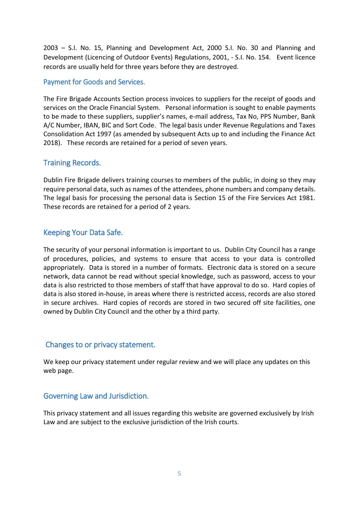2003 – S.I. No. 15, Planning and Development Act, 2000 S.I. No. 30 and Planning and Development (Licencing of Outdoor Events) Regulations, 2001, - S.I. No. 154. Event licence records are usually held for three years before they are destroyed.

#### <span id="page-5-0"></span>Payment for Goods and Services.

The Fire Brigade Accounts Section process invoices to suppliers for the receipt of goods and services on the Oracle Financial System. Personal information is sought to enable payments to be made to these suppliers, supplier's names, e-mail address, Tax No, PPS Number, Bank A/C Number, IBAN, BIC and Sort Code. The legal basis under Revenue Regulations and Taxes Consolidation Act 1997 (as amended by subsequent Acts up to and including the Finance Act 2018). These records are retained for a period of seven years.

## <span id="page-5-1"></span>Training Records.

Dublin Fire Brigade delivers training courses to members of the public, in doing so they may require personal data, such as names of the attendees, phone numbers and company details. The legal basis for processing the personal data is Section 15 of the Fire Services Act 1981. These records are retained for a period of 2 years.

## <span id="page-5-2"></span>Keeping Your Data Safe.

The security of your personal information is important to us. Dublin City Council has a range of procedures, policies, and systems to ensure that access to your data is controlled appropriately. Data is stored in a number of formats. Electronic data is stored on a secure network, data cannot be read without special knowledge, such as password, access to your data is also restricted to those members of staff that have approval to do so. Hard copies of data is also stored in-house, in areas where there is restricted access, records are also stored in secure archives. Hard copies of records are stored in two secured off site facilities, one owned by Dublin City Council and the other by a third party.

#### <span id="page-5-3"></span>Changes to or privacy statement.

We keep our privacy statement under regular review and we will place any updates on this web page.

#### <span id="page-5-4"></span>Governing Law and Jurisdiction.

This privacy statement and all issues regarding this website are governed exclusively by Irish Law and are subject to the exclusive jurisdiction of the Irish courts.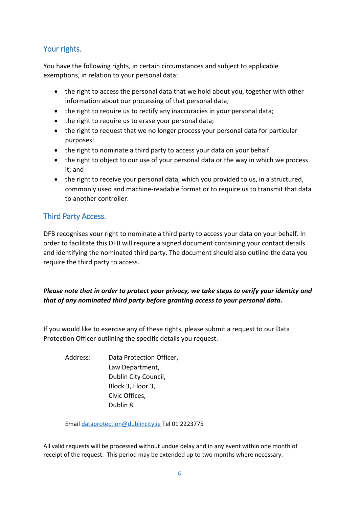# <span id="page-6-0"></span>Your rights.

You have the following rights, in certain circumstances and subject to applicable exemptions, in relation to your personal data:

- the right to access the personal data that we hold about you, together with other information about our processing of that personal data;
- the right to require us to rectify any inaccuracies in your personal data;
- the right to require us to erase your personal data;
- the right to request that we no longer process your personal data for particular purposes;
- the right to nominate a third party to access your data on your behalf.
- the right to object to our use of your personal data or the way in which we process it; and
- the right to receive your personal data, which you provided to us, in a structured, commonly used and machine-readable format or to require us to transmit that data to another controller.

# <span id="page-6-1"></span>Third Party Access.

DFB recognises your right to nominate a third party to access your data on your behalf. In order to facilitate this DFB will require a signed document containing your contact details and identifying the nominated third party. The document should also outline the data you require the third party to access.

#### *Please note that in order to protect your privacy, we take steps to verify your identity and that of any nominated third party before granting access to your personal data.*

If you would like to exercise any of these rights, please submit a request to our Data Protection Officer outlining the specific details you request.

Address: Data Protection Officer, Law Department, Dublin City Council, Block 3, Floor 3, Civic Offices, Dublin 8.

Email [dataprotection@dublincity.ie](mailto:dataprotection@dublincity.ie) Tel 01 2223775

All valid requests will be processed without undue delay and in any event within one month of receipt of the request. This period may be extended up to two months where necessary.